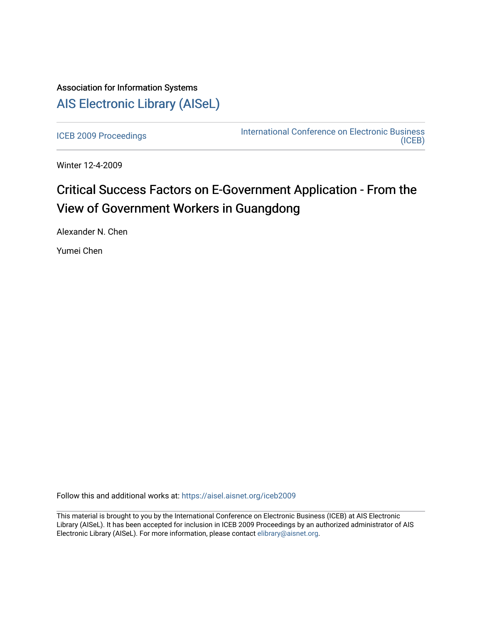## Association for Information Systems [AIS Electronic Library \(AISeL\)](https://aisel.aisnet.org/)

[ICEB 2009 Proceedings](https://aisel.aisnet.org/iceb2009) **International Conference on Electronic Business** [\(ICEB\)](https://aisel.aisnet.org/iceb) 

Winter 12-4-2009

# Critical Success Factors on E-Government Application - From the View of Government Workers in Guangdong

Alexander N. Chen

Yumei Chen

Follow this and additional works at: [https://aisel.aisnet.org/iceb2009](https://aisel.aisnet.org/iceb2009?utm_source=aisel.aisnet.org%2Ficeb2009%2F17&utm_medium=PDF&utm_campaign=PDFCoverPages)

This material is brought to you by the International Conference on Electronic Business (ICEB) at AIS Electronic Library (AISeL). It has been accepted for inclusion in ICEB 2009 Proceedings by an authorized administrator of AIS Electronic Library (AISeL). For more information, please contact [elibrary@aisnet.org.](mailto:elibrary@aisnet.org%3E)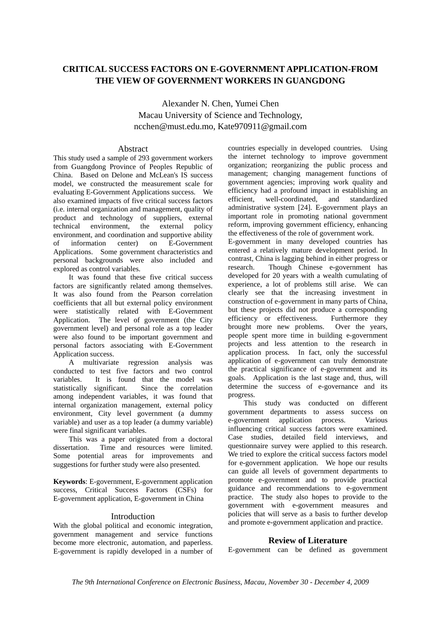## **CRITICAL SUCCESS FACTORS ON E-GOVERNMENT APPLICATION-FROM THE VIEW OF GOVERNMENT WORKERS IN GUANGDONG**

Alexander N. Chen, Yumei Chen Macau University of Science and Technology, ncchen@must.edu.mo, Kate970911@gmail.com

#### Abstract

This study used a sample of 293 government workers from Guangdong Province of Peoples Republic of China. Based on Delone and McLean's IS success model, we constructed the measurement scale for evaluating E-Government Applications success. We also examined impacts of five critical success factors (i.e. internal organization and management, quality of product and technology of suppliers, external technical environment, the external policy environment, and coordination and supportive ability of information center) on E-Government Applications. Some government characteristics and personal backgrounds were also included and explored as control variables.

It was found that these five critical success factors are significantly related among themselves. It was also found from the Pearson correlation coefficients that all but external policy environment were statistically related with E-Government Application. The level of government (the City government level) and personal role as a top leader were also found to be important government and personal factors associating with E-Government Application success.

A multivariate regression analysis was conducted to test five factors and two control variables. It is found that the model was statistically significant. Since the correlation among independent variables, it was found that internal organization management, external policy environment, City level government (a dummy variable) and user as a top leader (a dummy variable) were final significant variables.

This was a paper originated from a doctoral dissertation. Time and resources were limited. Some potential areas for improvements and suggestions for further study were also presented.

**Keywords**: E-government, E-government application success, Critical Success Factors (CSFs) for E-government application, E-government in China

#### Introduction

With the global political and economic integration. government management and service functions become more electronic, automation, and paperless. E-government is rapidly developed in a number of

countries especially in developed countries. Using the internet technology to improve government organization; reorganizing the public process and management; changing management functions of government agencies; improving work quality and efficiency had a profound impact in establishing an efficient, well-coordinated, and standardized administrative system [24]. E-government plays an important role in promoting national government reform, improving government efficiency, enhancing the effectiveness of the role of government work. E-government in many developed countries has entered a relatively mature development period. In

contrast, China is lagging behind in either progress or research. Though Chinese e-government has developed for 20 years with a wealth cumulating of experience, a lot of problems still arise. We can clearly see that the increasing investment in construction of e-government in many parts of China, but these projects did not produce a corresponding efficiency or effectiveness. Furthermore they brought more new problems. Over the years, people spent more time in building e-government projects and less attention to the research in application process. In fact, only the successful application of e-government can truly demonstrate the practical significance of e-government and its goals. Application is the last stage and, thus, will determine the success of e-governance and its progress.

This study was conducted on different government departments to assess success on e-government application process. Various influencing critical success factors were examined. Case studies, detailed field interviews, and questionnaire survey were applied to this research. We tried to explore the critical success factors model for e-government application. We hope our results can guide all levels of government departments to promote e-government and to provide practical guidance and recommendations to e-government practice. The study also hopes to provide to the government with e-government measures and policies that will serve as a basis to further develop and promote e-government application and practice.

### **Review of Literature**

E-government can be defined as government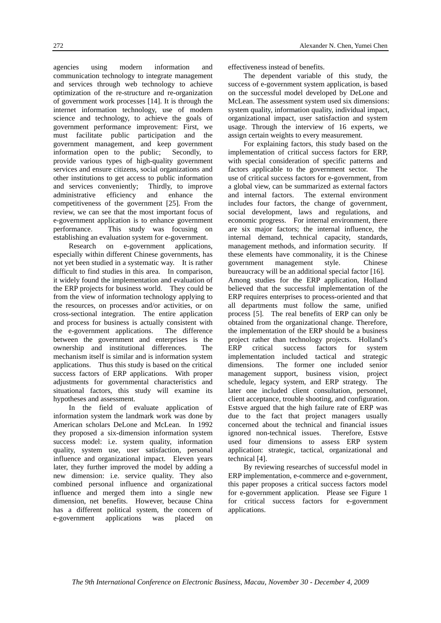agencies using modern information and communication technology to integrate management and services through web technology to achieve optimization of the re-structure and re-organization of government work processes [14]. It is through the internet information technology, use of modern science and technology, to achieve the goals of government performance improvement: First, we must facilitate public participation and the government management, and keep government information open to the public; Secondly, to provide various types of high-quality government services and ensure citizens, social organizations and other institutions to get access to public information and services conveniently; Thirdly, to improve administrative efficiency and enhance the competitiveness of the government [25]. From the review, we can see that the most important focus of e-government application is to enhance government performance. This study was focusing on establishing an evaluation system for e-government.

 Research on e-government applications, especially within different Chinese governments, has not yet been studied in a systematic way. It is rather difficult to find studies in this area. In comparison, it widely found the implementation and evaluation of the ERP projects for business world. They could be from the view of information technology applying to the resources, on processes and/or activities, or on cross-sectional integration. The entire application and process for business is actually consistent with the e-government applications. The difference between the government and enterprises is the ownership and institutional differences. The mechanism itself is similar and is information system applications. Thus this study is based on the critical success factors of ERP applications. With proper adjustments for governmental characteristics and situational factors, this study will examine its hypotheses and assessment.

In the field of evaluate application of information system the landmark work was done by American scholars DeLone and McLean. In 1992 they proposed a six-dimension information system success model: i.e. system quality, information quality, system use, user satisfaction, personal influence and organizational impact. Eleven years later, they further improved the model by adding a new dimension: i.e. service quality. They also combined personal influence and organizational influence and merged them into a single new dimension, net benefits. However, because China has a different political system, the concern of e-government applications was placed on

effectiveness instead of benefits.

The dependent variable of this study, the success of e-government system application, is based on the successful model developed by DeLone and McLean. The assessment system used six dimensions: system quality, information quality, individual impact, organizational impact, user satisfaction and system usage. Through the interview of 16 experts, we assign certain weights to every measurement.

For explaining factors, this study based on the implementation of critical success factors for ERP, with special consideration of specific patterns and factors applicable to the government sector. The use of critical success factors for e-government, from a global view, can be summarized as external factors and internal factors. The external environment includes four factors, the change of government, social development, laws and regulations, and economic progress. For internal environment, there are six major factors; the internal influence, the internal demand, technical capacity, standards, management methods, and information security. If these elements have commonality, it is the Chinese government management style. Chinese bureaucracy will be an additional special factor [16]. Among studies for the ERP application, Holland believed that the successful implementation of the ERP requires enterprises to process-oriented and that all departments must follow the same, unified process [5]. The real benefits of ERP can only be obtained from the organizational change. Therefore, the implementation of the ERP should be a business project rather than technology projects. Holland's<br>ERP critical success factors for system critical success factors for system implementation included tactical and strategic dimensions. The former one included senior management support, business vision, project schedule, legacy system, and ERP strategy. The later one included client consultation, personnel, client acceptance, trouble shooting, and configuration. Estsve argued that the high failure rate of ERP was due to the fact that project managers usually concerned about the technical and financial issues ignored non-technical issues. Therefore, Estsve used four dimensions to assess ERP system application: strategic, tactical, organizational and technical [4].

By reviewing researches of successful model in ERP implementation, e-commerce and e-government, this paper proposes a critical success factors model for e-government application. Please see Figure 1 for critical success factors for e-government applications.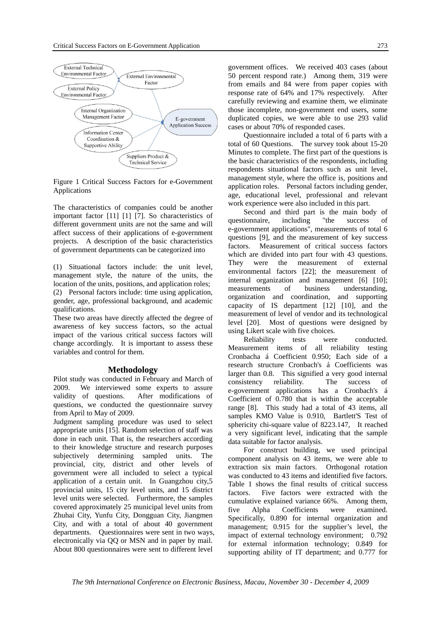

Figure 1 Critical Success Factors for e-Government Applications

The characteristics of companies could be another important factor [11] [1] [7]. So characteristics of different government units are not the same and will affect success of their applications of e-government projects. A description of the basic characteristics of government departments can be categorized into

(1) Situational factors include: the unit level, management style, the nature of the units, the location of the units, positions, and application roles; (2) Personal factors include: time using application, gender, age, professional background, and academic qualifications.

These two areas have directly affected the degree of awareness of key success factors, so the actual impact of the various critical success factors will change accordingly. It is important to assess these variables and control for them.

#### **Methodology**

Pilot study was conducted in February and March of 2009. We interviewed some experts to assure validity of questions. After modifications of questions, we conducted the questionnaire survey from April to May of 2009.

Judgment sampling procedure was used to select appropriate units [15]. Random selection of staff was done in each unit. That is, the researchers according to their knowledge structure and research purposes subjectively determining sampled units. The provincial, city, district and other levels of government were all included to select a typical application of a certain unit. In Guangzhou city,5 provincial units, 15 city level units, and 15 district level units were selected. Furthermore, the samples covered approximately 25 municipal level units from Zhuhai City, Yunfu City, Dongguan City, Jiangmen City, and with a total of about 40 government departments. Questionnaires were sent in two ways, electronically via QQ or MSN and in paper by mail. About 800 questionnaires were sent to different level

government offices. We received 403 cases (about 50 percent respond rate.) Among them, 319 were from emails and 84 were from paper copies with response rate of 64% and 17% respectively. After carefully reviewing and examine them, we eliminate those incomplete, non-government end users, some duplicated copies, we were able to use 293 valid cases or about 70% of responded cases.

Questionnaire included a total of 6 parts with a total of 60 Questions. The survey took about 15-20 Minutes to complete. The first part of the questions is the basic characteristics of the respondents, including respondents situational factors such as unit level, management style, where the office is, positions and application roles. Personal factors including gender, age, educational level, professional and relevant work experience were also included in this part.

Second and third part is the main body of questionnaire, including "the success of e-government applications", measurements of total 6 questions [9], and the measurement of key success factors. Measurement of critical success factors which are divided into part four with 43 questions. They were the measurement of external environmental factors [22]; the measurement of internal organization and management [6] [10]; measurements of business understanding, organization and coordination, and supporting capacity of IS department [12] [10], and the measurement of level of vendor and its technological level [20]. Most of questions were designed by using Likert scale with five choices.

Reliability tests were conducted. Measurement items of all reliability testing Cronbacha á Coefficient 0.950; Each side of a research structure Cronbach's á Coefficients was larger than 0.8. This signified a very good internal consistency reliability. The success of e-government applications has a Cronbach's á Coefficient of 0.780 that is within the acceptable range [8]. This study had a total of 43 items, all samples KMO Value is 0.910, Bartlett'S Test of sphericity chi-square value of 8223.147, It reached a very significant level, indicating that the sample data suitable for factor analysis.

For construct building, we used principal component analysis on 43 items, we were able to extraction six main factors. Orthogonal rotation was conducted to 43 items and identified five factors. Table 1 shows the final results of critical success factors. Five factors were extracted with the cumulative explained variance 66%. Among them, five Alpha Coefficients were examined. Specifically, 0.890 for internal organization and management; 0.915 for the supplier's level, the impact of external technology environment; 0.792 for external information technology; 0.849 for supporting ability of IT department; and 0.777 for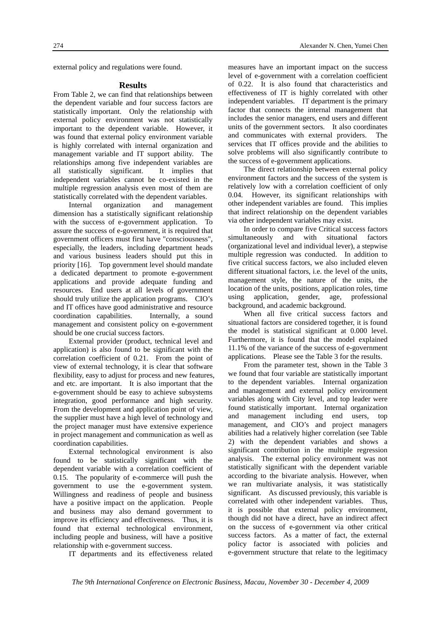external policy and regulations were found.

#### **Results**

From Table 2, we can find that relationships between the dependent variable and four success factors are statistically important. Only the relationship with external policy environment was not statistically important to the dependent variable. However, it was found that external policy environment variable is highly correlated with internal organization and management variable and IT support ability. The relationships among five independent variables are all statistically significant. It implies that independent variables cannot be co-existed in the multiple regression analysis even most of them are statistically correlated with the dependent variables.

Internal organization and management dimension has a statistically significant relationship with the success of e-government application. To assure the success of e-government, it is required that government officers must first have "consciousness", especially, the leaders, including department heads and various business leaders should put this in priority [16]. Top government level should mandate a dedicated department to promote e-government applications and provide adequate funding and resources. End users at all levels of government should truly utilize the application programs. CIO's and IT offices have good administrative and resource coordination capabilities. Internally, a sound management and consistent policy on e-government should be one crucial success factors.

External provider (product, technical level and application) is also found to be significant with the correlation coefficient of 0.21. From the point of view of external technology, it is clear that software flexibility, easy to adjust for process and new features, and etc. are important. It is also important that the e-government should be easy to achieve subsystems integration, good performance and high security. From the development and application point of view, the supplier must have a high level of technology and the project manager must have extensive experience in project management and communication as well as coordination capabilities.

 External technological environment is also found to be statistically significant with the dependent variable with a correlation coefficient of 0.15. The popularity of e-commerce will push the government to use the e-government system. Willingness and readiness of people and business have a positive impact on the application. People and business may also demand government to improve its efficiency and effectiveness. Thus, it is found that external technological environment, including people and business, will have a positive relationship with e-government success.

IT departments and its effectiveness related

measures have an important impact on the success level of e-government with a correlation coefficient of 0.22. It is also found that characteristics and effectiveness of IT is highly correlated with other independent variables. IT department is the primary factor that connects the internal management that includes the senior managers, end users and different units of the government sectors. It also coordinates and communicates with external providers. The services that IT offices provide and the abilities to solve problems will also significantly contribute to the success of e-government applications.

The direct relationship between external policy environment factors and the success of the system is relatively low with a correlation coefficient of only 0.04. However, its significant relationships with other independent variables are found. This implies that indirect relationship on the dependent variables via other independent variables may exist.

In order to compare five Critical success factors simultaneously and with situational factors (organizational level and individual lever), a stepwise multiple regression was conducted. In addition to five critical success factors, we also included eleven different situational factors, i.e. the level of the units, management style, the nature of the units, the location of the units, positions, application roles, time using application, gender, age, professional background, and academic background.

When all five critical success factors and situational factors are considered together, it is found the model is statistical significant at 0.000 level. Furthermore, it is found that the model explained 11.1% of the variance of the success of e-government applications. Please see the Table 3 for the results.

From the parameter test, shown in the Table 3 we found that four variable are statistically important to the dependent variables. Internal organization and management and external policy environment variables along with City level, and top leader were found statistically important. Internal organization and management including end users, top management, and CIO's and project managers abilities had a relatively higher correlation (see Table 2) with the dependent variables and shows a significant contribution in the multiple regression analysis. The external policy environment was not statistically significant with the dependent variable according to the bivariate analysis. However, when we ran multivariate analysis, it was statistically significant. As discussed previously, this variable is correlated with other independent variables. Thus, it is possible that external policy environment, though did not have a direct, have an indirect affect on the success of e-government via other critical success factors. As a matter of fact, the external policy factor is associated with policies and e-government structure that relate to the legitimacy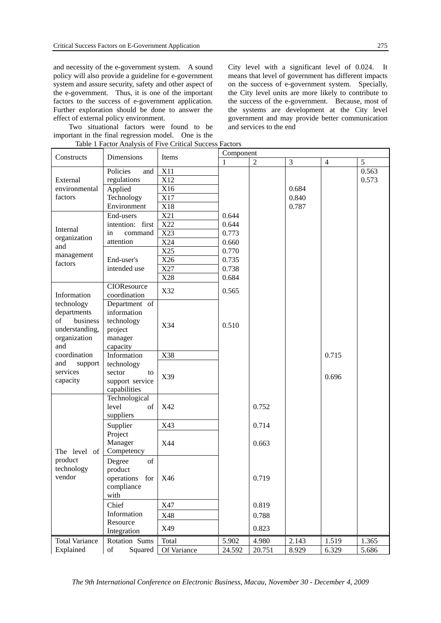and necessity of the e-government system. A sound policy will also provide a guideline for e-government system and assure security, safety and other aspect of the e-government. Thus, it is one of the important factors to the success of e-government application. Further exploration should be done to answer the effect of external policy environment.

Two situational factors were found to be important in the final regression model. One is the .<br>alveis of Fiv

City level with a significant level of 0.024. It means that level of government has different impacts on the success of e-government system. Specially, the City level units are more likely to contribute to the success of the e-government. Because, most of the systems are development at the City level government and may provide better communication and services to the end

|                                                                               |                                                                                                               | Table I Factor Analysis of Five Critical Success Factors | Component |                |       |                |       |
|-------------------------------------------------------------------------------|---------------------------------------------------------------------------------------------------------------|----------------------------------------------------------|-----------|----------------|-------|----------------|-------|
| Constructs                                                                    | Dimensions                                                                                                    | Items                                                    | 1         | $\overline{2}$ | 3     | $\overline{4}$ | 5     |
|                                                                               | Policies<br>and                                                                                               | <b>X11</b>                                               |           |                |       |                | 0.563 |
| External                                                                      | regulations                                                                                                   | X12                                                      |           |                |       |                | 0.573 |
| environmental                                                                 | Applied                                                                                                       | X16                                                      |           |                | 0.684 |                |       |
| factors                                                                       | Technology                                                                                                    | X17                                                      |           |                | 0.840 |                |       |
|                                                                               | Environment                                                                                                   | X18                                                      |           |                | 0.787 |                |       |
|                                                                               | End-users                                                                                                     | X21                                                      | 0.644     |                |       |                |       |
| Internal                                                                      | intention: first                                                                                              | X22                                                      | 0.644     |                |       |                |       |
| organization                                                                  | command<br>in                                                                                                 | X23                                                      | 0.773     |                |       |                |       |
| and                                                                           | attention                                                                                                     | X24                                                      | 0.660     |                |       |                |       |
| management                                                                    |                                                                                                               | X25                                                      | 0.770     |                |       |                |       |
| factors                                                                       | End-user's                                                                                                    | X26                                                      | 0.735     |                |       |                |       |
|                                                                               | intended use                                                                                                  | X27                                                      | 0.738     |                |       |                |       |
|                                                                               |                                                                                                               | X28                                                      | 0.684     |                |       |                |       |
| Information                                                                   | CIOResource<br>coordination                                                                                   | X32                                                      | 0.565     |                |       |                |       |
| technology<br>departments<br>of<br>business<br>understanding,<br>organization | Department of<br>information<br>technology<br>project<br>manager                                              | X34                                                      | 0.510     |                |       |                |       |
| and                                                                           | capacity                                                                                                      |                                                          |           |                |       |                |       |
| coordination                                                                  | Information                                                                                                   | X38                                                      |           |                |       | 0.715          |       |
| and<br>support<br>services<br>capacity                                        | technology<br>sector<br>to<br>support service<br>capabilities                                                 | X39                                                      |           |                |       | 0.696          |       |
|                                                                               | Technological<br>level<br>of<br>suppliers                                                                     | X42                                                      |           | 0.752          |       |                |       |
|                                                                               | Supplier                                                                                                      | X43                                                      |           | 0.714          |       |                |       |
| The level of                                                                  | Project<br>Manager<br>Competency                                                                              | X44                                                      |           | 0.663          |       |                |       |
| product<br>technology<br>vendor                                               | Degree<br>of<br>product<br>operations for<br>compliance<br>with                                               | X46                                                      |           | 0.719          |       |                |       |
|                                                                               | Chief                                                                                                         | X47                                                      |           | 0.819          |       |                |       |
|                                                                               | Information                                                                                                   | X48                                                      |           | 0.788          |       |                |       |
|                                                                               | Resource<br>Integration                                                                                       | X49                                                      |           | 0.823          |       |                |       |
| <b>Total Variance</b>                                                         | Rotation Sums                                                                                                 | Total                                                    | 5.902     | 4.980          | 2.143 | 1.519          | 1.365 |
| Explained                                                                     | $% \left( \left( \mathcal{A},\mathcal{A}\right) \right) =\left( \mathcal{A},\mathcal{A}\right)$ of<br>Squared | Of Variance                                              | 24.592    | 20.751         | 8.929 | 6.329          | 5.686 |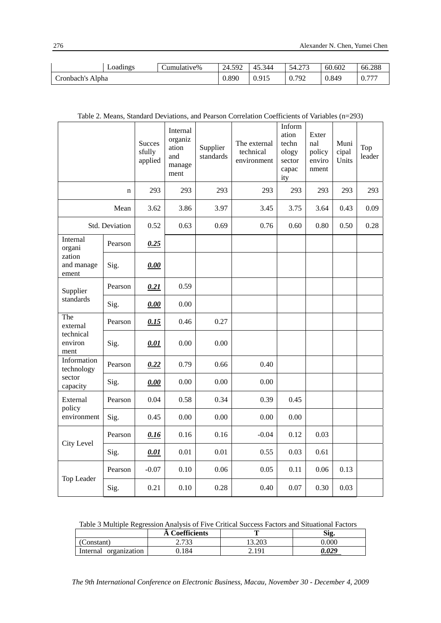|                  | Loadings | Jumulative% | 24.592 | 45.344 | 54.273 | 60.602 | 66.288 |
|------------------|----------|-------------|--------|--------|--------|--------|--------|
| Cronbach's Alpha |          |             | 0.890  | 0.915  | 0.792  | 0.849  | 0.777  |

| Table 2. Means, Standard Deviations, and Pearson Correlation Coefficients of Variables $(n=293)$ |  |  |  |  |
|--------------------------------------------------------------------------------------------------|--|--|--|--|
|--------------------------------------------------------------------------------------------------|--|--|--|--|

|                                                 |                | <b>Succes</b><br>sfully<br>applied | Internal<br>organiz<br>ation<br>and<br>manage<br>ment | Supplier<br>standards | The external<br>technical<br>environment | Inform<br>ation<br>techn<br>ology<br>sector<br>capac<br>ity | Exter<br>nal<br>policy<br>enviro<br>nment | Muni<br>cipal<br>Units | Top<br>leader |
|-------------------------------------------------|----------------|------------------------------------|-------------------------------------------------------|-----------------------|------------------------------------------|-------------------------------------------------------------|-------------------------------------------|------------------------|---------------|
|                                                 | n              | 293                                | 293                                                   | 293                   | 293                                      | 293                                                         | 293                                       | 293                    | 293           |
|                                                 | Mean           | 3.62                               | 3.86                                                  | 3.97                  | 3.45                                     | 3.75                                                        | 3.64                                      | 0.43                   | 0.09          |
|                                                 | Std. Deviation | 0.52                               | 0.63                                                  | 0.69                  | 0.76                                     | 0.60                                                        | 0.80                                      | 0.50                   | 0.28          |
| Internal<br>organi                              | Pearson        | 0.25                               |                                                       |                       |                                          |                                                             |                                           |                        |               |
| zation<br>and manage<br>ement                   | Sig.           | 0.00                               |                                                       |                       |                                          |                                                             |                                           |                        |               |
| Supplier                                        | Pearson        | 0.21                               | 0.59                                                  |                       |                                          |                                                             |                                           |                        |               |
| standards                                       | Sig.           | 0.00                               | 0.00                                                  |                       |                                          |                                                             |                                           |                        |               |
| The<br>external<br>technical<br>environ<br>ment | Pearson        | 0.15                               | 0.46                                                  | 0.27                  |                                          |                                                             |                                           |                        |               |
|                                                 | Sig.           | 0.01                               | 0.00                                                  | 0.00                  |                                          |                                                             |                                           |                        |               |
| Information<br>technology                       | Pearson        | 0.22                               | 0.79                                                  | 0.66                  | 0.40                                     |                                                             |                                           |                        |               |
| sector<br>capacity                              | Sig.           | 0.00                               | $0.00\,$                                              | 0.00                  | 0.00                                     |                                                             |                                           |                        |               |
| External<br>policy                              | Pearson        | 0.04                               | 0.58                                                  | 0.34                  | 0.39                                     | 0.45                                                        |                                           |                        |               |
| environment                                     | Sig.           | 0.45                               | 0.00                                                  | 0.00                  | 0.00                                     | 0.00                                                        |                                           |                        |               |
|                                                 | Pearson        | 0.16                               | 0.16                                                  | 0.16                  | $-0.04$                                  | 0.12                                                        | 0.03                                      |                        |               |
| City Level                                      | Sig.           | 0.01                               | 0.01                                                  | 0.01                  | 0.55                                     | 0.03                                                        | 0.61                                      |                        |               |
|                                                 | Pearson        | $-0.07$                            | 0.10                                                  | 0.06                  | 0.05                                     | 0.11                                                        | 0.06                                      | 0.13                   |               |
| Top Leader                                      | Sig.           | 0.21                               | 0.10                                                  | 0.28                  | 0.40                                     | $0.07\,$                                                    | 0.30                                      | 0.03                   |               |

|  | Table 3 Multiple Regression Analysis of Five Critical Success Factors and Situational Factors |
|--|-----------------------------------------------------------------------------------------------|
|--|-----------------------------------------------------------------------------------------------|

|                          | <b>Coefficients</b> |       | Sig.  |
|--------------------------|---------------------|-------|-------|
| Constant)                | 722                 | 3.203 | 0.000 |
| organization<br>Internal | 184                 | 2.191 | 1.029 |

*The 9th International Conference on Electronic Business, Macau, November 30 - December 4, 2009*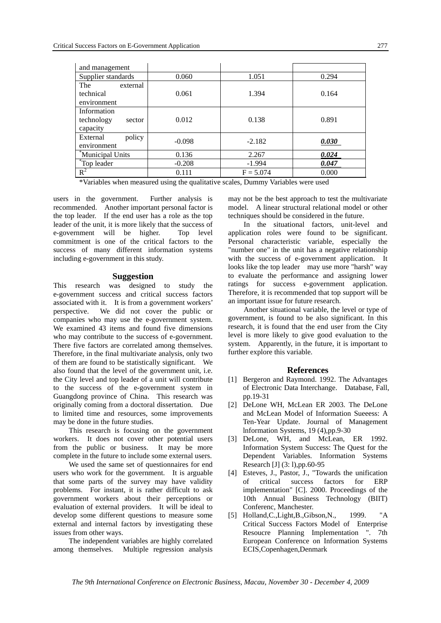| and management       |          |             |       |
|----------------------|----------|-------------|-------|
| Supplier standards   | 0.060    | 1.051       | 0.294 |
| The<br>external      |          |             |       |
| technical            | 0.061    | 1.394       | 0.164 |
| environment          |          |             |       |
| Information          |          |             |       |
| technology<br>sector | 0.012    | 0.138       | 0.891 |
| capacity             |          |             |       |
| policy<br>External   | $-0.098$ | $-2.182$    | 0.030 |
| environment          |          |             |       |
| *Municipal Units     | 0.136    | 2.267       | 0.024 |
| "Top leader          | $-0.208$ | $-1.994$    | 0.047 |
| $R^2$                | 0.111    | $F = 5.074$ | 0.000 |
|                      |          |             |       |

\*Variables when measured using the qualitative scales, Dummy Variables were used

users in the government. Further analysis is recommended. Another important personal factor is the top leader. If the end user has a role as the top leader of the unit, it is more likely that the success of e-government will be higher. Top level commitment is one of the critical factors to the success of many different information systems including e-government in this study.

#### **Suggestion**

This research was designed to study the e-government success and critical success factors associated with it. It is from a government workers' perspective. We did not cover the public or companies who may use the e-government system. We examined 43 items and found five dimensions who may contribute to the success of e-government. There five factors are correlated among themselves. Therefore, in the final multivariate analysis, only two of them are found to be statistically significant. We also found that the level of the government unit, i.e. the City level and top leader of a unit will contribute to the success of the e-government system in Guangdong province of China. This research was originally coming from a doctoral dissertation. Due to limited time and resources, some improvements may be done in the future studies.

This research is focusing on the government workers. It does not cover other potential users from the public or business. It may be more complete in the future to include some external users.

We used the same set of questionnaires for end users who work for the government. It is arguable that some parts of the survey may have validity problems. For instant, it is rather difficult to ask government workers about their perceptions or evaluation of external providers. It will be ideal to develop some different questions to measure some external and internal factors by investigating these issues from other ways.

The independent variables are highly correlated among themselves. Multiple regression analysis may not be the best approach to test the multivariate model. A linear structural relational model or other techniques should be considered in the future.

In the situational factors, unit-level and application roles were found to be significant. Personal characteristic variable, especially the "number one" in the unit has a negative relationship with the success of e-government application. It looks like the top leader may use more "harsh" way to evaluate the performance and assigning lower ratings for success e-government application. Therefore, it is recommended that top support will be an important issue for future research.

Another situational variable, the level or type of government, is found to be also significant. In this research, it is found that the end user from the City level is more likely to give good evaluation to the system. Apparently, in the future, it is important to further explore this variable.

#### **References**

- [1] Bergeron and Raymond. 1992. The Advantages of Electronic Data Interchange. Database, Fall, pp.19-31
- [2] DeLone WH, McLean ER 2003. The DeLone and McLean Model of Information Sueeess: A Ten-Year Update. Journal of Management lnformation Systems, 19 (4),pp.9-30
- [3] DeLone, WH, and McLean, ER 1992. Information System Success: The Quest for the Dependent Variables. Information Systems Research [J] (3: l),pp.60-95
- [4] Esteves, J., Pastor, J., "Towards the unification of critical success factors for ERP implementation" [C]. 2000. Proceedings of the 10th Annual Business Technology (BIIT) Conferenc, Manchester.
- [5] Holland,C.,Light,B.,Gibson,N., 1999. "A Critical Success Factors Model of Enterprise Resoucre Planning Implementation ". 7th European Conference on Information Systems ECIS,Copenhagen,Denmark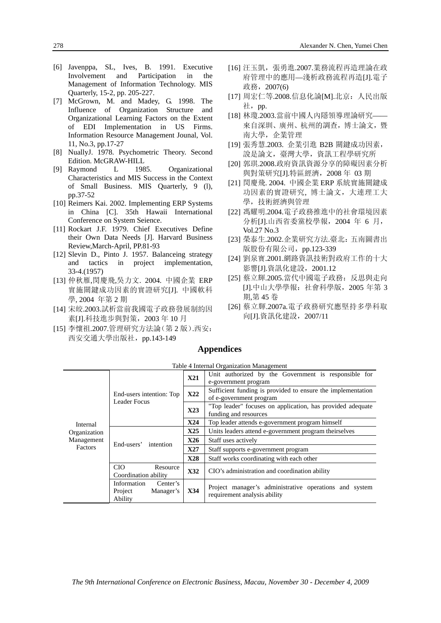- [6] Javenppa, SL, Ives, B. 1991. Executive Involvement and Participation in the Management of Information Technology. MIS Quarterly, 15-2, pp. 205-227.
- [7] McGrown, M. and Madey, G. 1998. The Influence of Organization Structure and Organizational Learning Factors on the Extent of EDI Implementation in US Firms. Information Resource Management Jounal, Vol. 11, No.3, pp.17-27
- [8] NuallyJ. 1978. Psychometric Theory. Second Edition. McGRAW-HILL<br>Raymond L 1985.
- [9] Raymond L 1985. Organizational Characteristics and MIS Success in the Context of Small Business. MIS Quarterly, 9 (l), pp.37-52
- [10] Reimers Kai. 2002. Implementing ERP Systems in China [C]. 35th Hawaii International Conference on System Seience.
- [11] Rockart J.F. 1979. Chief Executives Define their Own Data Needs [J]. Harvard Business Review,March-April, PP.81-93
- [12] Slevin D., Pinto J. 1957. Balanceing strategy and tactics in project implementation, 33-4.(1957)
- [13] 仲秋雁,閔慶飛,吳力文. 2004. 中國企業 ERP 實施關鍵成功因素的實證研究[J]. 中國軟科 學, 2004 年第 2 期
- [14] 宋皎.2003.試析當前我國電子政務發展制約因 素[J].科技進步與對策, 2003年 10月
- [15] 李懷祖.2007.管理研究方法論(第 2 版).西安: 西安交通大學出版社,pp.143-149
- [16] 汪玉凱, 張勇進.2007.業務流程再造理論在政 府管理中的應用—淺析政務流程再造[J].電子 政務, 2007(6)
- [17] 周宏仁等.2008.信息化論[M].北京:人民出版 社,pp.
- [18] 林瓊.2003.當前中國人內隱領導理論研究-來自深圳、廣州、杭州的調查,博士論文,暨 南大學, 企業管理
- [19] 張秀慧.2003. 企業引進 B2B 關鍵成功因素, 說是論文,臺灣大學,資訊工程學研究所
- [20] 郭琪.2008.政府資訊資源分享的障礙因素分析 與對策研究[J].特區經濟,2008 年 03 期
- [21] 閔慶飛. 2004. 中國企業 ERP 系統實施關鍵成 功因素的實證研究, 博士論文,大連理工大 學,技術經濟與管理
- [22] 馮耀明.2004.電子政務推進中的社會環境因素 分析[J].山西省委黨校學報,2004 年 6 月, Vol.27 No.3
- [23] 榮泰生.2002.企業研究方法.臺北:五南圖書出 版股份有限公司, pp.123-339
- [24] 劉泉寶.2001.網路資訊技術對政府工作的十大 影響[J].資訊化建設, 2001.12
- [25] 蔡立輝.2005.當代中國電子政務:反思與走向 [J].中山大學學報:社會科學版,2005 年第 3 期,第 45 卷
- [26] 蔡立輝.2007a.電子政務研究應堅持多學科取 向[J].資訊化建設,2007/11

#### **Appendices**

|                          |                                                            |            | $1401C + 111C + 114C + 116C + 116C + 116C + 116C + 116C + 116C + 116C + 116C + 116C + 116C + 116C + 116C + 116C + 116C + 116C + 116C + 116C + 116C + 116C + 116C + 116C + 116C + 116C + 116C + 116C + 116C + 116C + 116C + 116C + 116C + 116C + 116C + 116C + 116$ |  |  |  |  |
|--------------------------|------------------------------------------------------------|------------|--------------------------------------------------------------------------------------------------------------------------------------------------------------------------------------------------------------------------------------------------------------------|--|--|--|--|
|                          |                                                            | <b>X21</b> | Unit authorized by the Government is responsible for<br>e-government program                                                                                                                                                                                       |  |  |  |  |
|                          |                                                            |            |                                                                                                                                                                                                                                                                    |  |  |  |  |
|                          | End-users intention: Top                                   | <b>X22</b> | Sufficient funding is provided to ensure the implementation                                                                                                                                                                                                        |  |  |  |  |
|                          | Leader Focus                                               |            | of e-government program                                                                                                                                                                                                                                            |  |  |  |  |
|                          |                                                            | X23        | "Top leader" focuses on application, has provided adequate<br>funding and resources                                                                                                                                                                                |  |  |  |  |
| Internal<br>Organization |                                                            |            |                                                                                                                                                                                                                                                                    |  |  |  |  |
|                          |                                                            | X24        | Top leader attends e-government program himself                                                                                                                                                                                                                    |  |  |  |  |
|                          | End-users'<br>intention                                    | X25        | Units leaders attend e-government program theirselves                                                                                                                                                                                                              |  |  |  |  |
| Management               |                                                            | X26        | Staff uses actively                                                                                                                                                                                                                                                |  |  |  |  |
| <b>Factors</b>           |                                                            | X27        | Staff supports e-government program                                                                                                                                                                                                                                |  |  |  |  |
|                          |                                                            | <b>X28</b> | Staff works coordinating with each other                                                                                                                                                                                                                           |  |  |  |  |
|                          | <b>CIO</b><br>Resource                                     | X32        | CIO's administration and coordination ability                                                                                                                                                                                                                      |  |  |  |  |
|                          | Coordination ability                                       |            |                                                                                                                                                                                                                                                                    |  |  |  |  |
|                          | Information<br>Center's<br>Project<br>Manager's<br>Ability | X34        | Project manager's administrative operations and system<br>requirement analysis ability                                                                                                                                                                             |  |  |  |  |